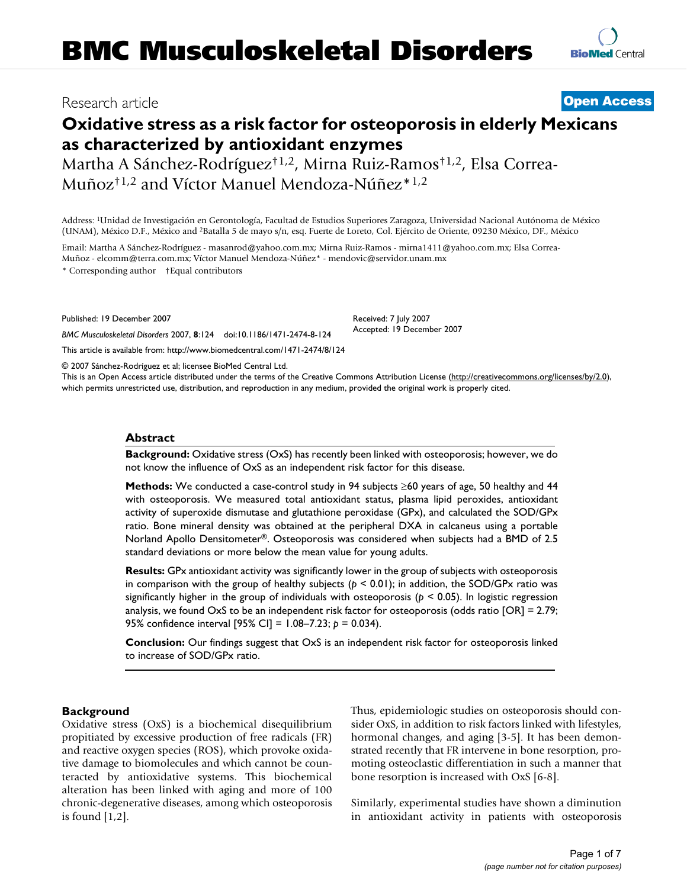# Research article **[Open Access](http://www.biomedcentral.com/info/about/charter/)**

# **Oxidative stress as a risk factor for osteoporosis in elderly Mexicans as characterized by antioxidant enzymes**

Martha A Sánchez-Rodríguez†1,2, Mirna Ruiz-Ramos†1,2, Elsa Correa-Muñoz†1,2 and Víctor Manuel Mendoza-Núñez\*1,2

Address: 1Unidad de Investigación en Gerontología, Facultad de Estudios Superiores Zaragoza, Universidad Nacional Autónoma de México (UNAM), México D.F., México and 2Batalla 5 de mayo s/n, esq. Fuerte de Loreto, Col. Ejército de Oriente, 09230 México, DF., México

Email: Martha A Sánchez-Rodríguez - masanrod@yahoo.com.mx; Mirna Ruiz-Ramos - mirna1411@yahoo.com.mx; Elsa Correa-Muñoz - elcomm@terra.com.mx; Víctor Manuel Mendoza-Núñez\* - mendovic@servidor.unam.mx

\* Corresponding author †Equal contributors

Published: 19 December 2007

*BMC Musculoskeletal Disorders* 2007, **8**:124 doi:10.1186/1471-2474-8-124

[This article is available from: http://www.biomedcentral.com/1471-2474/8/124](http://www.biomedcentral.com/1471-2474/8/124)

© 2007 Sánchez-Rodríguez et al; licensee BioMed Central Ltd.

This is an Open Access article distributed under the terms of the Creative Commons Attribution License [\(http://creativecommons.org/licenses/by/2.0\)](http://creativecommons.org/licenses/by/2.0), which permits unrestricted use, distribution, and reproduction in any medium, provided the original work is properly cited.

# **Abstract**

**Background:** Oxidative stress (OxS) has recently been linked with osteoporosis; however, we do not know the influence of OxS as an independent risk factor for this disease.

**Methods:** We conducted a case-control study in 94 subjects ≥60 years of age, 50 healthy and 44 with osteoporosis. We measured total antioxidant status, plasma lipid peroxides, antioxidant activity of superoxide dismutase and glutathione peroxidase (GPx), and calculated the SOD/GPx ratio. Bone mineral density was obtained at the peripheral DXA in calcaneus using a portable Norland Apollo Densitometer®. Osteoporosis was considered when subjects had a BMD of 2.5 standard deviations or more below the mean value for young adults.

**Results:** GPx antioxidant activity was significantly lower in the group of subjects with osteoporosis in comparison with the group of healthy subjects ( $p < 0.01$ ); in addition, the SOD/GPx ratio was significantly higher in the group of individuals with osteoporosis (*p* < 0.05). In logistic regression analysis, we found OxS to be an independent risk factor for osteoporosis (odds ratio [OR] = 2.79; 95% confidence interval [95% CI] = 1.08–7.23; *p* = 0.034).

**Conclusion:** Our findings suggest that OxS is an independent risk factor for osteoporosis linked to increase of SOD/GPx ratio.

# **Background**

Oxidative stress (OxS) is a biochemical disequilibrium propitiated by excessive production of free radicals (FR) and reactive oxygen species (ROS), which provoke oxidative damage to biomolecules and which cannot be counteracted by antioxidative systems. This biochemical alteration has been linked with aging and more of 100 chronic-degenerative diseases, among which osteoporosis is found  $[1,2]$ .

Thus, epidemiologic studies on osteoporosis should consider OxS, in addition to risk factors linked with lifestyles, hormonal changes, and aging [3-5]. It has been demonstrated recently that FR intervene in bone resorption, promoting osteoclastic differentiation in such a manner that bone resorption is increased with OxS [6-8].

Similarly, experimental studies have shown a diminution in antioxidant activity in patients with osteoporosis

Received: 7 July 2007 Accepted: 19 December 2007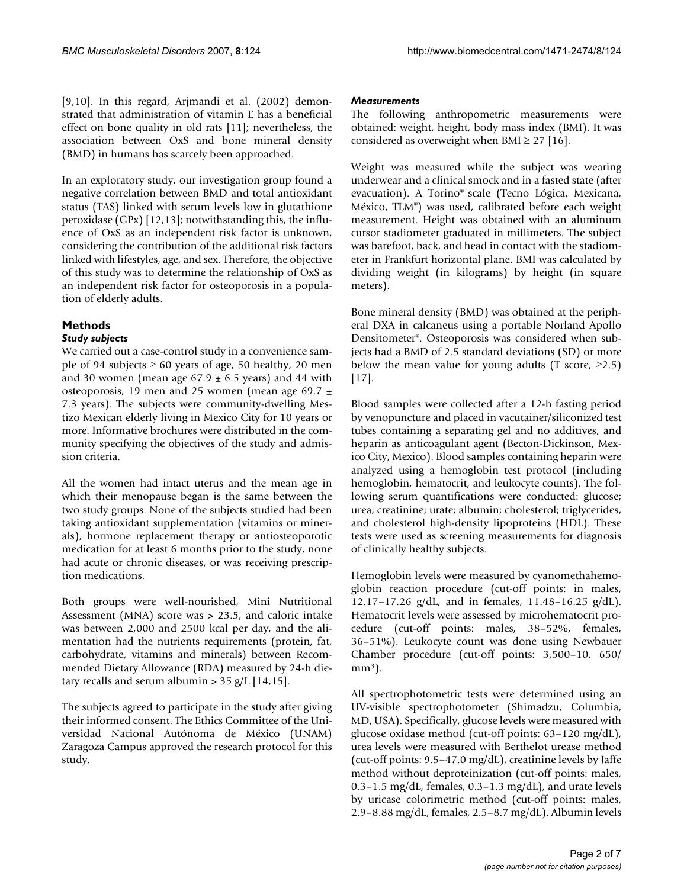[9,10]. In this regard, Arjmandi et al. (2002) demonstrated that administration of vitamin E has a beneficial effect on bone quality in old rats [11]; nevertheless, the association between OxS and bone mineral density (BMD) in humans has scarcely been approached.

In an exploratory study, our investigation group found a negative correlation between BMD and total antioxidant status (TAS) linked with serum levels low in glutathione peroxidase (GPx) [12,13]; notwithstanding this, the influence of OxS as an independent risk factor is unknown, considering the contribution of the additional risk factors linked with lifestyles, age, and sex. Therefore, the objective of this study was to determine the relationship of OxS as an independent risk factor for osteoporosis in a population of elderly adults.

# **Methods**

# *Study subjects*

We carried out a case-control study in a convenience sample of 94 subjects  $\geq 60$  years of age, 50 healthy, 20 men and 30 women (mean age  $67.9 \pm 6.5$  years) and 44 with osteoporosis, 19 men and 25 women (mean age 69.7  $\pm$ 7.3 years). The subjects were community-dwelling Mestizo Mexican elderly living in Mexico City for 10 years or more. Informative brochures were distributed in the community specifying the objectives of the study and admission criteria.

All the women had intact uterus and the mean age in which their menopause began is the same between the two study groups. None of the subjects studied had been taking antioxidant supplementation (vitamins or minerals), hormone replacement therapy or antiosteoporotic medication for at least 6 months prior to the study, none had acute or chronic diseases, or was receiving prescription medications.

Both groups were well-nourished, Mini Nutritional Assessment (MNA) score was > 23.5, and caloric intake was between 2,000 and 2500 kcal per day, and the alimentation had the nutrients requirements (protein, fat, carbohydrate, vitamins and minerals) between Recommended Dietary Allowance (RDA) measured by 24-h dietary recalls and serum albumin  $>$  35 g/L [14,15].

The subjects agreed to participate in the study after giving their informed consent. The Ethics Committee of the Universidad Nacional Autónoma de México (UNAM) Zaragoza Campus approved the research protocol for this study.

# *Measurements*

The following anthropometric measurements were obtained: weight, height, body mass index (BMI). It was considered as overweight when BMI  $\geq$  27 [16].

Weight was measured while the subject was wearing underwear and a clinical smock and in a fasted state (after evacuation). A Torino® scale (Tecno Lógica, Mexicana, México, TLM®) was used, calibrated before each weight measurement. Height was obtained with an aluminum cursor stadiometer graduated in millimeters. The subject was barefoot, back, and head in contact with the stadiometer in Frankfurt horizontal plane. BMI was calculated by dividing weight (in kilograms) by height (in square meters).

Bone mineral density (BMD) was obtained at the peripheral DXA in calcaneus using a portable Norland Apollo Densitometer®. Osteoporosis was considered when subjects had a BMD of 2.5 standard deviations (SD) or more below the mean value for young adults (T score,  $\geq 2.5$ ) [17].

Blood samples were collected after a 12-h fasting period by venopuncture and placed in vacutainer/siliconized test tubes containing a separating gel and no additives, and heparin as anticoagulant agent (Becton-Dickinson, Mexico City, Mexico). Blood samples containing heparin were analyzed using a hemoglobin test protocol (including hemoglobin, hematocrit, and leukocyte counts). The following serum quantifications were conducted: glucose; urea; creatinine; urate; albumin; cholesterol; triglycerides, and cholesterol high-density lipoproteins (HDL). These tests were used as screening measurements for diagnosis of clinically healthy subjects.

Hemoglobin levels were measured by cyanomethahemoglobin reaction procedure (cut-off points: in males, 12.17–17.26 g/dL, and in females, 11.48–16.25 g/dL). Hematocrit levels were assessed by microhematocrit procedure (cut-off points: males, 38–52%, females, 36–51%). Leukocyte count was done using Newbauer Chamber procedure (cut-off points: 3,500–10, 650/  $mm<sup>3</sup>$ ).

All spectrophotometric tests were determined using an UV-visible spectrophotometer (Shimadzu, Columbia, MD, USA). Specifically, glucose levels were measured with glucose oxidase method (cut-off points: 63–120 mg/dL), urea levels were measured with Berthelot urease method (cut-off points: 9.5–47.0 mg/dL), creatinine levels by Jaffe method without deproteinization (cut-off points: males, 0.3–1.5 mg/dL, females, 0.3–1.3 mg/dL), and urate levels by uricase colorimetric method (cut-off points: males, 2.9–8.88 mg/dL, females, 2.5–8.7 mg/dL). Albumin levels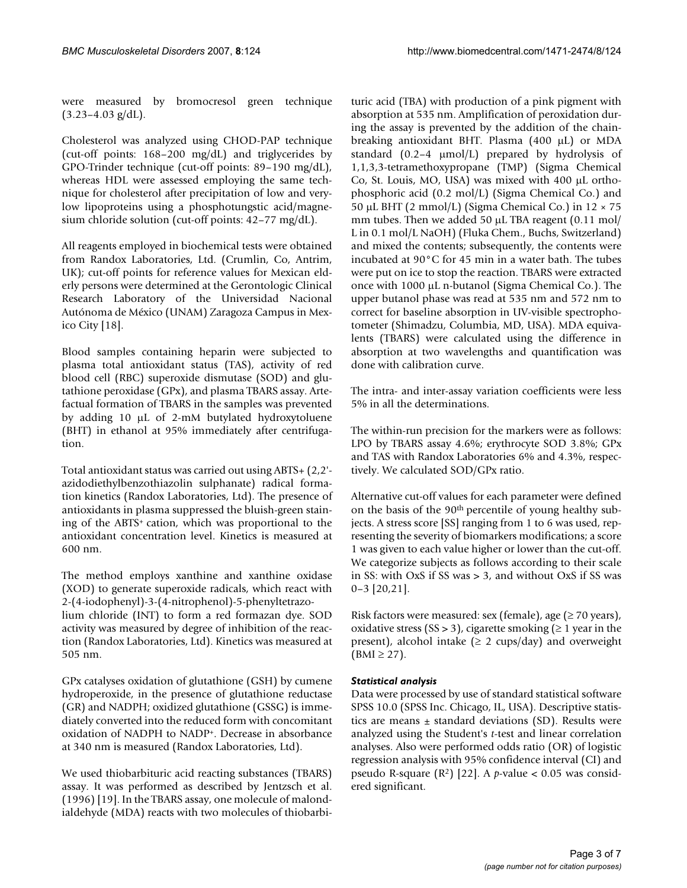were measured by bromocresol green technique  $(3.23-4.03 \text{ g/dL}).$ 

Cholesterol was analyzed using CHOD-PAP technique (cut-off points: 168–200 mg/dL) and triglycerides by GPO-Trinder technique (cut-off points: 89–190 mg/dL), whereas HDL were assessed employing the same technique for cholesterol after precipitation of low and verylow lipoproteins using a phosphotungstic acid/magnesium chloride solution (cut-off points: 42–77 mg/dL).

All reagents employed in biochemical tests were obtained from Randox Laboratories, Ltd. (Crumlin, Co, Antrim, UK); cut-off points for reference values for Mexican elderly persons were determined at the Gerontologic Clinical Research Laboratory of the Universidad Nacional Autónoma de México (UNAM) Zaragoza Campus in Mexico City [18].

Blood samples containing heparin were subjected to plasma total antioxidant status (TAS), activity of red blood cell (RBC) superoxide dismutase (SOD) and glutathione peroxidase (GPx), and plasma TBARS assay. Artefactual formation of TBARS in the samples was prevented by adding 10 μL of 2-mM butylated hydroxytoluene (BHT) in ethanol at 95% immediately after centrifugation.

Total antioxidant status was carried out using ABTS+ (2,2' azidodiethylbenzothiazolin sulphanate) radical formation kinetics (Randox Laboratories, Ltd). The presence of antioxidants in plasma suppressed the bluish-green staining of the ABTS+ cation, which was proportional to the antioxidant concentration level. Kinetics is measured at 600 nm.

The method employs xanthine and xanthine oxidase (XOD) to generate superoxide radicals, which react with 2-(4-iodophenyl)-3-(4-nitrophenol)-5-phenyltetrazo-

lium chloride (INT) to form a red formazan dye. SOD activity was measured by degree of inhibition of the reaction (Randox Laboratories, Ltd). Kinetics was measured at 505 nm.

GPx catalyses oxidation of glutathione (GSH) by cumene hydroperoxide, in the presence of glutathione reductase (GR) and NADPH; oxidized glutathione (GSSG) is immediately converted into the reduced form with concomitant oxidation of NADPH to NADP+. Decrease in absorbance at 340 nm is measured (Randox Laboratories, Ltd).

We used thiobarbituric acid reacting substances (TBARS) assay. It was performed as described by Jentzsch et al. (1996) [19]. In the TBARS assay, one molecule of malondialdehyde (MDA) reacts with two molecules of thiobarbituric acid (TBA) with production of a pink pigment with absorption at 535 nm. Amplification of peroxidation during the assay is prevented by the addition of the chainbreaking antioxidant BHT. Plasma (400 μL) or MDA standard (0.2–4 μmol/L) prepared by hydrolysis of 1,1,3,3-tetramethoxypropane (TMP) (Sigma Chemical Co, St. Louis, MO, USA) was mixed with 400 μL orthophosphoric acid (0.2 mol/L) (Sigma Chemical Co.) and 50 μL BHT (2 mmol/L) (Sigma Chemical Co.) in  $12 \times 75$ mm tubes. Then we added 50 μL TBA reagent (0.11 mol/ L in 0.1 mol/L NaOH) (Fluka Chem., Buchs, Switzerland) and mixed the contents; subsequently, the contents were incubated at 90°C for 45 min in a water bath. The tubes were put on ice to stop the reaction. TBARS were extracted once with 1000 μL n-butanol (Sigma Chemical Co.). The upper butanol phase was read at 535 nm and 572 nm to correct for baseline absorption in UV-visible spectrophotometer (Shimadzu, Columbia, MD, USA). MDA equivalents (TBARS) were calculated using the difference in absorption at two wavelengths and quantification was done with calibration curve.

The intra- and inter-assay variation coefficients were less 5% in all the determinations.

The within-run precision for the markers were as follows: LPO by TBARS assay 4.6%; erythrocyte SOD 3.8%; GPx and TAS with Randox Laboratories 6% and 4.3%, respectively. We calculated SOD/GPx ratio.

Alternative cut-off values for each parameter were defined on the basis of the 90<sup>th</sup> percentile of young healthy subjects. A stress score [SS] ranging from 1 to 6 was used, representing the severity of biomarkers modifications; a score 1 was given to each value higher or lower than the cut-off. We categorize subjects as follows according to their scale in SS: with OxS if SS was > 3, and without OxS if SS was 0–3 [20,21].

Risk factors were measured: sex (female), age  $(\geq 70 \text{ years})$ , oxidative stress  $(SS > 3)$ , cigarette smoking ( $\geq 1$  year in the present), alcohol intake ( $\geq$  2 cups/day) and overweight  $(BMI \geq 27)$ .

# *Statistical analysis*

Data were processed by use of standard statistical software SPSS 10.0 (SPSS Inc. Chicago, IL, USA). Descriptive statistics are means  $\pm$  standard deviations (SD). Results were analyzed using the Student's *t*-test and linear correlation analyses. Also were performed odds ratio (OR) of logistic regression analysis with 95% confidence interval (CI) and pseudo R-square (R2) [22]. A *p*-value < 0.05 was considered significant.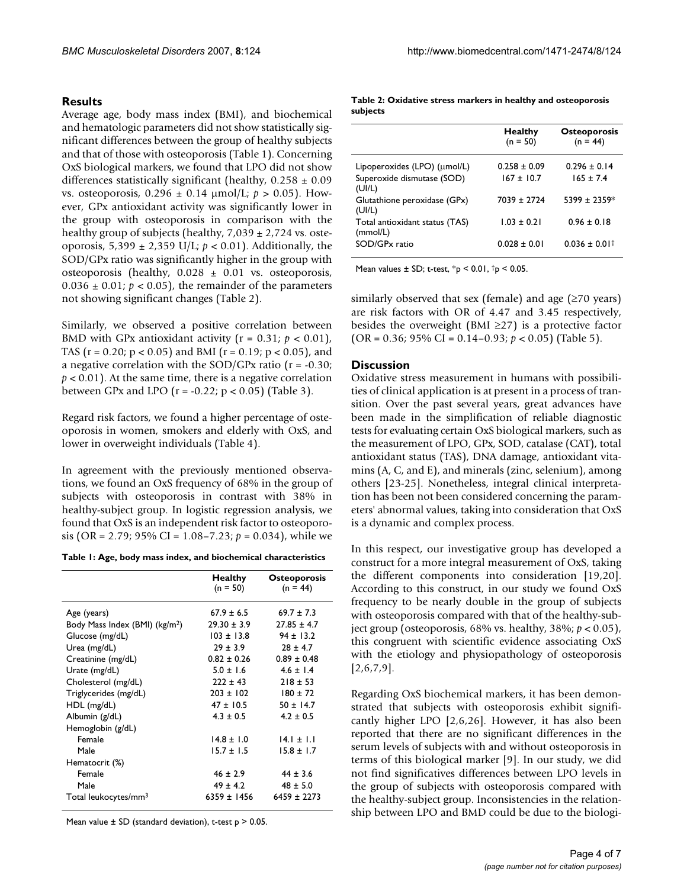#### **Results**

Average age, body mass index (BMI), and biochemical and hematologic parameters did not show statistically significant differences between the group of healthy subjects and that of those with osteoporosis (Table 1). Concerning OxS biological markers, we found that LPO did not show differences statistically significant (healthy,  $0.258 \pm 0.09$ vs. osteoporosis, 0.296 ± 0.14 μmol/L; *p* > 0.05). However, GPx antioxidant activity was significantly lower in the group with osteoporosis in comparison with the healthy group of subjects (healthy,  $7,039 \pm 2,724$  vs. osteoporosis, 5,399 ± 2,359 U/L; *p* < 0.01). Additionally, the SOD/GPx ratio was significantly higher in the group with osteoporosis (healthy,  $0.028 \pm 0.01$  vs. osteoporosis,  $0.036 \pm 0.01$ ;  $p < 0.05$ ), the remainder of the parameters not showing significant changes (Table 2).

Similarly, we observed a positive correlation between BMD with GPx antioxidant activity  $(r = 0.31; p < 0.01)$ , TAS ( $r = 0.20$ ;  $p < 0.05$ ) and BMI ( $r = 0.19$ ;  $p < 0.05$ ), and a negative correlation with the  $SOD/GPx$  ratio ( $r = -0.30$ ;  $p < 0.01$ ). At the same time, there is a negative correlation between GPx and LPO ( $r = -0.22$ ;  $p < 0.05$ ) (Table 3).

Regard risk factors, we found a higher percentage of osteoporosis in women, smokers and elderly with OxS, and lower in overweight individuals (Table 4).

In agreement with the previously mentioned observations, we found an OxS frequency of 68% in the group of subjects with osteoporosis in contrast with 38% in healthy-subject group. In logistic regression analysis, we found that OxS is an independent risk factor to osteoporosis (OR = 2.79; 95% CI = 1.08–7.23; *p* = 0.034), while we

**Table 1: Age, body mass index, and biochemical characteristics**

|                                            | <b>Healthy</b><br>$(n = 50)$ | <b>Osteoporosis</b><br>$(n = 44)$ |
|--------------------------------------------|------------------------------|-----------------------------------|
| Age (years)                                | $67.9 + 6.5$                 | $69.7 + 7.3$                      |
| Body Mass Index (BMI) (kg/m <sup>2</sup> ) | $29.30 \pm 3.9$              | $27.85 \pm 4.7$                   |
| Glucose (mg/dL)                            | $103 \pm 13.8$               | $94 \pm 13.2$                     |
| Urea (mg/dL)                               | $29 \pm 3.9$                 | $28 \pm 4.7$                      |
| Creatinine (mg/dL)                         | $0.82 \pm 0.26$              | $0.89 \pm 0.48$                   |
| Urate (mg/dL)                              | $5.0 \pm 1.6$                | $4.6 \pm 1.4$                     |
| Cholesterol (mg/dL)                        | $222 \pm 43$                 | $218 \pm 53$                      |
| Triglycerides (mg/dL)                      | $203 \pm 102$                | $180 \pm 72$                      |
| HDL (mg/dL)                                | $47 \pm 10.5$                | $50 \pm 14.7$                     |
| Albumin (g/dL)                             | $4.3 \pm 0.5$                | $4.2 \pm 0.5$                     |
| Hemoglobin (g/dL)                          |                              |                                   |
| Female                                     | $14.8 \pm 1.0$               | $14.1 \pm 1.1$                    |
| Male                                       | $15.7 \pm 1.5$               | $15.8 \pm 1.7$                    |
| Hematocrit (%)                             |                              |                                   |
| Female                                     | $46 \pm 2.9$                 | $44 \pm 3.6$                      |
| Male                                       | $49 \pm 4.2$                 | $48 \pm 5.0$                      |
| Total leukocytes/mm <sup>3</sup>           | $6359 \pm 1456$              | $6459 \pm 2273$                   |

Mean value  $\pm$  SD (standard deviation), t-test  $p > 0.05$ .

**Table 2: Oxidative stress markers in healthy and osteoporosis subjects**

|                                                                      | <b>Healthy</b><br>$(n = 50)$     | <b>Osteoporosis</b><br>$(n = 44)$ |
|----------------------------------------------------------------------|----------------------------------|-----------------------------------|
| Lipoperoxides (LPO) (umol/L)<br>Superoxide dismutase (SOD)<br>(UI/L) | $0.258 \pm 0.09$<br>$167 + 10.7$ | $0.296 + 0.14$<br>$165 + 7.4$     |
| Glutathione peroxidase (GPx)<br>(UI/L)                               | 7039 + 2724                      | $5399 \pm 2359*$                  |
| Total antioxidant status (TAS)<br>(mmol/L)                           | $1.03 + 0.21$                    | $0.96 + 0.18$                     |
| SOD/GPx ratio                                                        | $0.028 + 0.01$                   | $0.036 + 0.011$                   |

Mean values  $\pm$  SD; t-test,  $*_{p}$  < 0.01,  $\dagger_{p}$  < 0.05.

similarly observed that sex (female) and age (≥70 years) are risk factors with OR of 4.47 and 3.45 respectively, besides the overweight (BMI  $\geq$ 27) is a protective factor (OR = 0.36; 95% CI = 0.14–0.93; *p* < 0.05) (Table 5).

#### **Discussion**

Oxidative stress measurement in humans with possibilities of clinical application is at present in a process of transition. Over the past several years, great advances have been made in the simplification of reliable diagnostic tests for evaluating certain OxS biological markers, such as the measurement of LPO, GPx, SOD, catalase (CAT), total antioxidant status (TAS), DNA damage, antioxidant vitamins (A, C, and E), and minerals (zinc, selenium), among others [23-25]. Nonetheless, integral clinical interpretation has been not been considered concerning the parameters' abnormal values, taking into consideration that OxS is a dynamic and complex process.

In this respect, our investigative group has developed a construct for a more integral measurement of OxS, taking the different components into consideration [19,20]. According to this construct, in our study we found OxS frequency to be nearly double in the group of subjects with osteoporosis compared with that of the healthy-subject group (osteoporosis, 68% vs. healthy, 38%; *p* < 0.05), this congruent with scientific evidence associating OxS with the etiology and physiopathology of osteoporosis [2,6,7,9].

Regarding OxS biochemical markers, it has been demonstrated that subjects with osteoporosis exhibit significantly higher LPO [2,6,26]. However, it has also been reported that there are no significant differences in the serum levels of subjects with and without osteoporosis in terms of this biological marker [9]. In our study, we did not find significatives differences between LPO levels in the group of subjects with osteoporosis compared with the healthy-subject group. Inconsistencies in the relationship between LPO and BMD could be due to the biologi-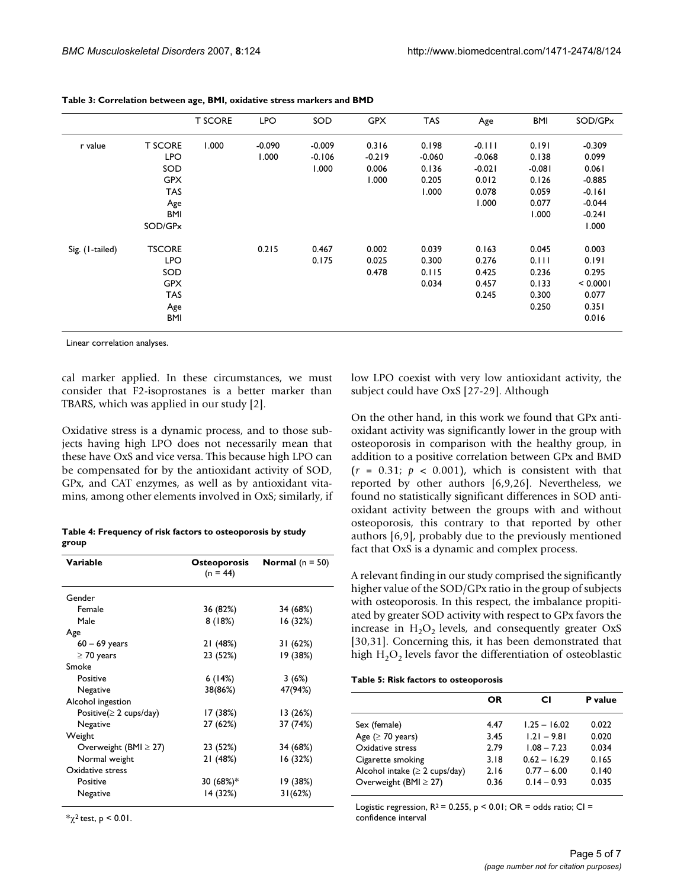|                 |                | <b>T SCORE</b> | <b>LPO</b> | SOD      | <b>GPX</b> | <b>TAS</b> | Age      | <b>BMI</b> | SOD/GPx  |
|-----------------|----------------|----------------|------------|----------|------------|------------|----------|------------|----------|
| r value         | <b>T SCORE</b> | 1.000          | $-0.090$   | $-0.009$ | 0.316      | 0.198      | $-0.111$ | 0.191      | $-0.309$ |
|                 | <b>LPO</b>     |                | 1.000      | $-0.106$ | $-0.219$   | $-0.060$   | $-0.068$ | 0.138      | 0.099    |
|                 | SOD            |                |            | 1.000    | 0.006      | 0.136      | $-0.021$ | $-0.081$   | 0.061    |
|                 | <b>GPX</b>     |                |            |          | 000.1      | 0.205      | 0.012    | 0.126      | $-0.885$ |
|                 | <b>TAS</b>     |                |            |          |            | 1.000      | 0.078    | 0.059      | $-0.161$ |
|                 | Age            |                |            |          |            |            | 1.000    | 0.077      | $-0.044$ |
|                 | BMI            |                |            |          |            |            |          | 1.000      | $-0.241$ |
|                 | SOD/GPx        |                |            |          |            |            |          |            | 1.000    |
| Sig. (1-tailed) | <b>TSCORE</b>  |                | 0.215      | 0.467    | 0.002      | 0.039      | 0.163    | 0.045      | 0.003    |
|                 | <b>LPO</b>     |                |            | 0.175    | 0.025      | 0.300      | 0.276    | 0.111      | 0.191    |
|                 | SOD            |                |            |          | 0.478      | 0.115      | 0.425    | 0.236      | 0.295    |
|                 | <b>GPX</b>     |                |            |          |            | 0.034      | 0.457    | 0.133      | < 0.0001 |
|                 | <b>TAS</b>     |                |            |          |            |            | 0.245    | 0.300      | 0.077    |
|                 | Age            |                |            |          |            |            |          | 0.250      | 0.351    |
|                 | BMI            |                |            |          |            |            |          |            | 0.016    |

**Table 3: Correlation between age, BMI, oxidative stress markers and BMD**

Linear correlation analyses.

cal marker applied. In these circumstances, we must consider that F2-isoprostanes is a better marker than TBARS, which was applied in our study [2].

Oxidative stress is a dynamic process, and to those subjects having high LPO does not necessarily mean that these have OxS and vice versa. This because high LPO can be compensated for by the antioxidant activity of SOD, GPx, and CAT enzymes, as well as by antioxidant vitamins, among other elements involved in OxS; similarly, if

|       | Table 4: Frequency of risk factors to osteoporosis by study |
|-------|-------------------------------------------------------------|
| group |                                                             |

| Variable                     | Osteoporosis<br>$(n = 44)$ | <b>Normal</b> ( $n = 50$ ) |  |
|------------------------------|----------------------------|----------------------------|--|
| Gender                       |                            |                            |  |
| Female                       | 36 (82%)                   | 34 (68%)                   |  |
| Male                         | 8(18%)                     | 16 (32%)                   |  |
| Age                          |                            |                            |  |
| $60 - 69$ years              | 21 (48%)                   | 31 (62%)                   |  |
| $\geq 70$ years              | 23 (52%)                   | 19 (38%)                   |  |
| Smoke                        |                            |                            |  |
| Positive                     | 6(14%)                     | 3(6%)                      |  |
| Negative                     | 38(86%)                    | 47(94%)                    |  |
| Alcohol ingestion            |                            |                            |  |
| Positive( $\geq 2$ cups/day) | 17 (38%)                   | 13 (26%)                   |  |
| Negative                     | 27 (62%)                   | 37 (74%)                   |  |
| Weight                       |                            |                            |  |
| Overweight (BMI $\geq$ 27)   | 23 (52%)                   | 34 (68%)                   |  |
| Normal weight                | 21 (48%)                   | 16 (32%)                   |  |
| Oxidative stress             |                            |                            |  |
| Positive                     | 30 (68%)*                  | 19 (38%)                   |  |
| Negative                     | 14 (32%)                   | 31(62%)                    |  |

 $*_{χ²}$  test, p < 0.01.

low LPO coexist with very low antioxidant activity, the subject could have OxS [27-29]. Although

On the other hand, in this work we found that GPx antioxidant activity was significantly lower in the group with osteoporosis in comparison with the healthy group, in addition to a positive correlation between GPx and BMD  $(r = 0.31; p < 0.001)$ , which is consistent with that reported by other authors [6,9,26]. Nevertheless, we found no statistically significant differences in SOD antioxidant activity between the groups with and without osteoporosis, this contrary to that reported by other authors [6,9], probably due to the previously mentioned fact that OxS is a dynamic and complex process.

A relevant finding in our study comprised the significantly higher value of the SOD/GPx ratio in the group of subjects with osteoporosis. In this respect, the imbalance propitiated by greater SOD activity with respect to GPx favors the increase in  $H_2O_2$  levels, and consequently greater OxS [30,31]. Concerning this, it has been demonstrated that high  $H_2O_2$  levels favor the differentiation of osteoblastic

#### **Table 5: Risk factors to osteoporosis**

|                                     | OR   | CI             | P value |
|-------------------------------------|------|----------------|---------|
| Sex (female)                        | 4.47 | $1.25 - 16.02$ | 0.022   |
| Age ( $\geq$ 70 years)              | 3.45 | $1.21 - 9.81$  | 0.020   |
| Oxidative stress                    | 2.79 | $1.08 - 7.23$  | 0.034   |
| Cigarette smoking                   | 3.18 | $0.62 - 16.29$ | 0.165   |
| Alcohol intake ( $\geq$ 2 cups/day) | 2.16 | $0.77 - 6.00$  | 0.140   |
| Overweight (BMI $\geq$ 27)          | 0.36 | $0.14 - 0.93$  | 0.035   |
|                                     |      |                |         |

Logistic regression,  $R^2$  = 0.255,  $p$  < 0.01; OR = odds ratio; CI = confidence interval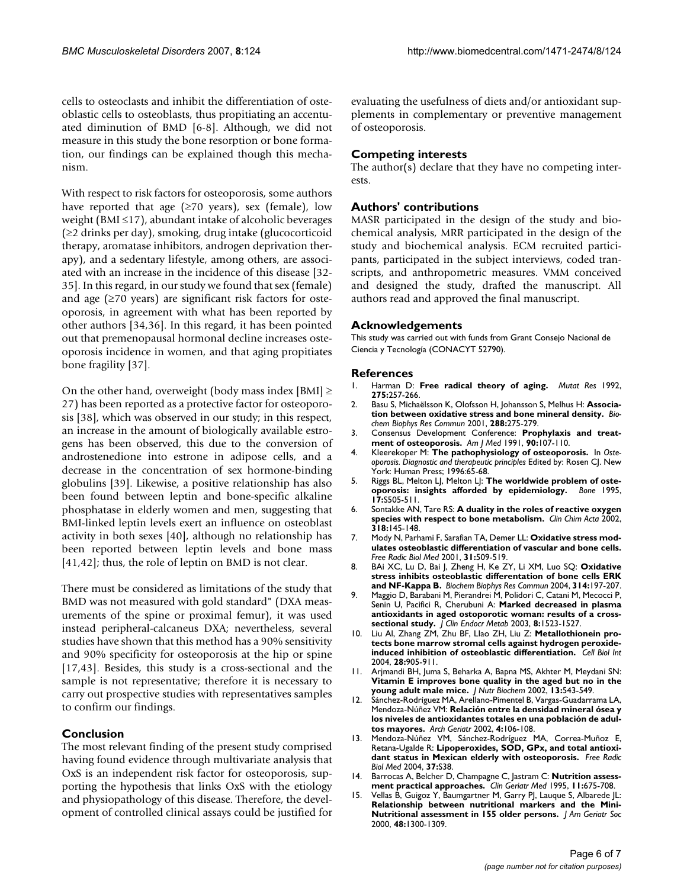cells to osteoclasts and inhibit the differentiation of osteoblastic cells to osteoblasts, thus propitiating an accentuated diminution of BMD [6-8]. Although, we did not measure in this study the bone resorption or bone formation, our findings can be explained though this mechanism.

With respect to risk factors for osteoporosis, some authors have reported that age  $(\geq 70 \text{ years})$ , sex (female), low weight ( $BMI \leq 17$ ), abundant intake of alcoholic beverages (≥2 drinks per day), smoking, drug intake (glucocorticoid therapy, aromatase inhibitors, androgen deprivation therapy), and a sedentary lifestyle, among others, are associated with an increase in the incidence of this disease [32- 35]. In this regard, in our study we found that sex (female) and age (≥70 years) are significant risk factors for osteoporosis, in agreement with what has been reported by other authors [34,36]. In this regard, it has been pointed out that premenopausal hormonal decline increases osteoporosis incidence in women, and that aging propitiates bone fragility [37].

On the other hand, overweight (body mass index [BMI]  $\geq$ 27) has been reported as a protective factor for osteoporosis [38], which was observed in our study; in this respect, an increase in the amount of biologically available estrogens has been observed, this due to the conversion of androstenedione into estrone in adipose cells, and a decrease in the concentration of sex hormone-binding globulins [39]. Likewise, a positive relationship has also been found between leptin and bone-specific alkaline phosphatase in elderly women and men, suggesting that BMI-linked leptin levels exert an influence on osteoblast activity in both sexes [40], although no relationship has been reported between leptin levels and bone mass [41,42]; thus, the role of leptin on BMD is not clear.

There must be considered as limitations of the study that BMD was not measured with gold standard" (DXA measurements of the spine or proximal femur), it was used instead peripheral-calcaneus DXA; nevertheless, several studies have shown that this method has a 90% sensitivity and 90% specificity for osteoporosis at the hip or spine [17,43]. Besides, this study is a cross-sectional and the sample is not representative; therefore it is necessary to carry out prospective studies with representatives samples to confirm our findings.

# **Conclusion**

The most relevant finding of the present study comprised having found evidence through multivariate analysis that OxS is an independent risk factor for osteoporosis, supporting the hypothesis that links OxS with the etiology and physiopathology of this disease. Therefore, the development of controlled clinical assays could be justified for evaluating the usefulness of diets and/or antioxidant supplements in complementary or preventive management of osteoporosis.

# **Competing interests**

The author(s) declare that they have no competing interests.

# **Authors' contributions**

MASR participated in the design of the study and biochemical analysis, MRR participated in the design of the study and biochemical analysis. ECM recruited participants, participated in the subject interviews, coded transcripts, and anthropometric measures. VMM conceived and designed the study, drafted the manuscript. All authors read and approved the final manuscript.

# **Acknowledgements**

This study was carried out with funds from Grant Consejo Nacional de Ciencia y Tecnología (CONACYT 52790).

# **References**

- 1. Harman D: **[Free radical theory of aging.](http://www.ncbi.nlm.nih.gov/entrez/query.fcgi?cmd=Retrieve&db=PubMed&dopt=Abstract&list_uids=1383768)** *Mutat Res* 1992, **275:**257-266.
- 2. Basu S, Michaëlsson K, Olofsson H, Johansson S, Melhus H: **[Associa](http://www.ncbi.nlm.nih.gov/entrez/query.fcgi?cmd=Retrieve&db=PubMed&dopt=Abstract&list_uids=11594785)[tion between oxidative stress and bone mineral density.](http://www.ncbi.nlm.nih.gov/entrez/query.fcgi?cmd=Retrieve&db=PubMed&dopt=Abstract&list_uids=11594785)** *Biochem Biophys Res Commun* 2001, **288:**275-279.
- 3. Consensus Development Conference: **[Prophylaxis and treat](http://www.ncbi.nlm.nih.gov/entrez/query.fcgi?cmd=Retrieve&db=PubMed&dopt=Abstract&list_uids=1986575)[ment of osteoporosis.](http://www.ncbi.nlm.nih.gov/entrez/query.fcgi?cmd=Retrieve&db=PubMed&dopt=Abstract&list_uids=1986575)** *Am J Med* 1991, **90:**107-110.
- 4. Kleerekoper M: **The pathophysiology of osteoporosis.** In *Osteoporosis. Diagnostic and therapeutic principles* Edited by: Rosen CJ. New York: Human Press; 1996:65-68.
- 5. Riggs BL, Melton LJ, Melton LJ: **The worldwide problem of osteoporosis: insights afforded by epidemiology.** *Bone* 1995, **17:**S505-511.
- 6. Sontakke AN, Tare RS: **[A duality in the roles of reactive oxygen](http://www.ncbi.nlm.nih.gov/entrez/query.fcgi?cmd=Retrieve&db=PubMed&dopt=Abstract&list_uids=11880125) [species with respect to bone metabolism.](http://www.ncbi.nlm.nih.gov/entrez/query.fcgi?cmd=Retrieve&db=PubMed&dopt=Abstract&list_uids=11880125)** *Clin Chim Acta* 2002, **318:**145-148.
- 7. Mody N, Parhami F, Sarafian TA, Demer LL: **[Oxidative stress mod](http://www.ncbi.nlm.nih.gov/entrez/query.fcgi?cmd=Retrieve&db=PubMed&dopt=Abstract&list_uids=11498284)[ulates osteoblastic differentiation of vascular and bone cells.](http://www.ncbi.nlm.nih.gov/entrez/query.fcgi?cmd=Retrieve&db=PubMed&dopt=Abstract&list_uids=11498284)** *Free Radic Biol Med* 2001, **31:**509-519.
- 8. BAi XC, Lu D, Bai J, Zheng H, Ke ZY, Li XM, Luo SQ: **[Oxidative](http://www.ncbi.nlm.nih.gov/entrez/query.fcgi?cmd=Retrieve&db=PubMed&dopt=Abstract&list_uids=14715266) [stress inhibits osteoblastic differentation of bone cells ERK](http://www.ncbi.nlm.nih.gov/entrez/query.fcgi?cmd=Retrieve&db=PubMed&dopt=Abstract&list_uids=14715266) [and NF-Kappa B.](http://www.ncbi.nlm.nih.gov/entrez/query.fcgi?cmd=Retrieve&db=PubMed&dopt=Abstract&list_uids=14715266)** *Biochem Biophys Res Commun* 2004, **314:**197-207.
- 9. Maggio D, Barabani M, Pierandrei M, Polidori C, Catani M, Mecocci P, Senin U, Pacifici R, Cherubuni A: **Marked decreased in plasma antioxidants in aged ostoporotic woman: results of a crosssectional study.** *J Clin Endocr Metab* 2003, **8:**1523-1527.
- 10. Liu Al, Zhang ZM, Zhu BF, LIao ZH, Liu Z: **[Metallothionein pro](http://www.ncbi.nlm.nih.gov/entrez/query.fcgi?cmd=Retrieve&db=PubMed&dopt=Abstract&list_uids=15566960)[tects bone marrow stromal cells against hydrogen peroxide](http://www.ncbi.nlm.nih.gov/entrez/query.fcgi?cmd=Retrieve&db=PubMed&dopt=Abstract&list_uids=15566960)[induced inhibition of osteoblastic differentiation.](http://www.ncbi.nlm.nih.gov/entrez/query.fcgi?cmd=Retrieve&db=PubMed&dopt=Abstract&list_uids=15566960)** *Cell Biol Int* 2004, **28:**905-911.
- 11. Arjmandi BH, Juma S, Beharka A, Bapna MS, Akhter M, Meydani SN: **[Vitamin E improves bone quality in the aged but no in the](http://www.ncbi.nlm.nih.gov/entrez/query.fcgi?cmd=Retrieve&db=PubMed&dopt=Abstract&list_uids=12231425) [young adult male mice.](http://www.ncbi.nlm.nih.gov/entrez/query.fcgi?cmd=Retrieve&db=PubMed&dopt=Abstract&list_uids=12231425)** *J Nutr Biochem* 2002, **13:**543-549.
- 12. Sánchez-Rodríguez MA, Arellano-Pimentel B, Vargas-Guadarrama LA, Mendoza-Núñez VM: **Relación entre la densidad mineral ósea y los niveles de antioxidantes totales en una población de adultos mayores.** *Arch Geriatr* 2002, **4:**106-108.
- 13. Mendoza-Núñez VM, Sánchez-Rodríguez MA, Correa-Muñoz E, Retana-Ugalde R: **Lipoperoxides, SOD, GPx, and total antioxidant status in Mexican elderly with osteoporosis.** *Free Radic Biol Med* 2004, **37:**S38.
- 14. Barrocas A, Belcher D, Champagne C, Jastram C: **[Nutrition assess](http://www.ncbi.nlm.nih.gov/entrez/query.fcgi?cmd=Retrieve&db=PubMed&dopt=Abstract&list_uids=8556695)[ment practical approaches.](http://www.ncbi.nlm.nih.gov/entrez/query.fcgi?cmd=Retrieve&db=PubMed&dopt=Abstract&list_uids=8556695)** *Clin Geriatr Med* 1995, **11:**675-708.
- 15. Vellas B, Guigoz Y, Baumgartner M, Garry PJ, Lauque S, Albarede JL: **[Relationship between nutritional markers and the Mini-](http://www.ncbi.nlm.nih.gov/entrez/query.fcgi?cmd=Retrieve&db=PubMed&dopt=Abstract&list_uids=11037019)[Nutritional assessment in 155 older persons.](http://www.ncbi.nlm.nih.gov/entrez/query.fcgi?cmd=Retrieve&db=PubMed&dopt=Abstract&list_uids=11037019)** *J Am Geriatr Soc* 2000, **48:**1300-1309.